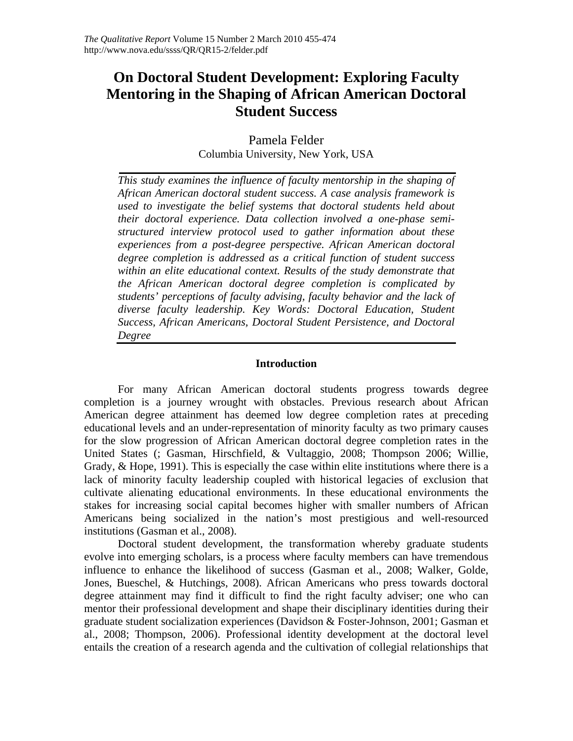# **On Doctoral Student Development: Exploring Faculty Mentoring in the Shaping of African American Doctoral Student Success**

Pamela Felder Columbia University, New York, USA

*This study examines the influence of faculty mentorship in the shaping of African American doctoral student success. A case analysis framework is used to investigate the belief systems that doctoral students held about their doctoral experience. Data collection involved a one-phase semistructured interview protocol used to gather information about these experiences from a post-degree perspective. African American doctoral degree completion is addressed as a critical function of student success within an elite educational context. Results of the study demonstrate that the African American doctoral degree completion is complicated by students' perceptions of faculty advising, faculty behavior and the lack of diverse faculty leadership. Key Words: Doctoral Education, Student Success, African Americans, Doctoral Student Persistence, and Doctoral Degree*

# **Introduction**

For many African American doctoral students progress towards degree completion is a journey wrought with obstacles. Previous research about African American degree attainment has deemed low degree completion rates at preceding educational levels and an under-representation of minority faculty as two primary causes for the slow progression of African American doctoral degree completion rates in the United States (; Gasman, Hirschfield, & Vultaggio, 2008; Thompson 2006; Willie, Grady, & Hope, 1991). This is especially the case within elite institutions where there is a lack of minority faculty leadership coupled with historical legacies of exclusion that cultivate alienating educational environments. In these educational environments the stakes for increasing social capital becomes higher with smaller numbers of African Americans being socialized in the nation's most prestigious and well-resourced institutions (Gasman et al., 2008).

Doctoral student development, the transformation whereby graduate students evolve into emerging scholars, is a process where faculty members can have tremendous influence to enhance the likelihood of success (Gasman et al., 2008; Walker, Golde, Jones, Bueschel, & Hutchings, 2008). African Americans who press towards doctoral degree attainment may find it difficult to find the right faculty adviser; one who can mentor their professional development and shape their disciplinary identities during their graduate student socialization experiences (Davidson & Foster-Johnson, 2001; Gasman et al., 2008; Thompson, 2006). Professional identity development at the doctoral level entails the creation of a research agenda and the cultivation of collegial relationships that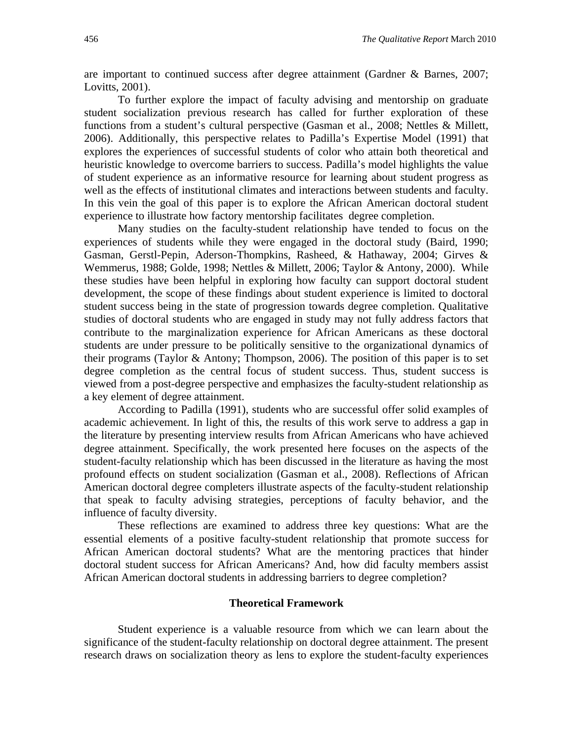are important to continued success after degree attainment (Gardner & Barnes, 2007; Lovitts, 2001).

To further explore the impact of faculty advising and mentorship on graduate student socialization previous research has called for further exploration of these functions from a student's cultural perspective (Gasman et al., 2008; Nettles & Millett, 2006). Additionally, this perspective relates to Padilla's Expertise Model (1991) that explores the experiences of successful students of color who attain both theoretical and heuristic knowledge to overcome barriers to success. Padilla's model highlights the value of student experience as an informative resource for learning about student progress as well as the effects of institutional climates and interactions between students and faculty. In this vein the goal of this paper is to explore the African American doctoral student experience to illustrate how factory mentorship facilitates degree completion.

Many studies on the faculty-student relationship have tended to focus on the experiences of students while they were engaged in the doctoral study (Baird, 1990; Gasman, Gerstl-Pepin, Aderson-Thompkins, Rasheed, & Hathaway, 2004; Girves & Wemmerus, 1988; Golde, 1998; Nettles & Millett, 2006; Taylor & Antony, 2000). While these studies have been helpful in exploring how faculty can support doctoral student development, the scope of these findings about student experience is limited to doctoral student success being in the state of progression towards degree completion. Qualitative studies of doctoral students who are engaged in study may not fully address factors that contribute to the marginalization experience for African Americans as these doctoral students are under pressure to be politically sensitive to the organizational dynamics of their programs (Taylor & Antony; Thompson, 2006). The position of this paper is to set degree completion as the central focus of student success. Thus, student success is viewed from a post-degree perspective and emphasizes the faculty-student relationship as a key element of degree attainment.

According to Padilla (1991), students who are successful offer solid examples of academic achievement. In light of this, the results of this work serve to address a gap in the literature by presenting interview results from African Americans who have achieved degree attainment. Specifically, the work presented here focuses on the aspects of the student-faculty relationship which has been discussed in the literature as having the most profound effects on student socialization (Gasman et al., 2008). Reflections of African American doctoral degree completers illustrate aspects of the faculty-student relationship that speak to faculty advising strategies, perceptions of faculty behavior, and the influence of faculty diversity.

These reflections are examined to address three key questions: What are the essential elements of a positive faculty-student relationship that promote success for African American doctoral students? What are the mentoring practices that hinder doctoral student success for African Americans? And, how did faculty members assist African American doctoral students in addressing barriers to degree completion?

#### **Theoretical Framework**

Student experience is a valuable resource from which we can learn about the significance of the student-faculty relationship on doctoral degree attainment. The present research draws on socialization theory as lens to explore the student-faculty experiences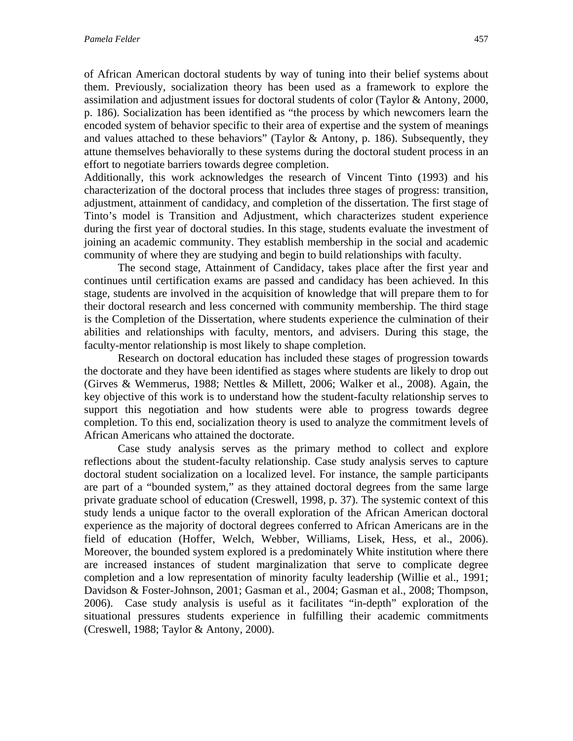of African American doctoral students by way of tuning into their belief systems about them. Previously, socialization theory has been used as a framework to explore the assimilation and adjustment issues for doctoral students of color (Taylor & Antony, 2000, p. 186). Socialization has been identified as "the process by which newcomers learn the encoded system of behavior specific to their area of expertise and the system of meanings and values attached to these behaviors" (Taylor & Antony, p. 186). Subsequently, they attune themselves behaviorally to these systems during the doctoral student process in an effort to negotiate barriers towards degree completion.

Additionally, this work acknowledges the research of Vincent Tinto (1993) and his characterization of the doctoral process that includes three stages of progress: transition, adjustment, attainment of candidacy, and completion of the dissertation. The first stage of Tinto's model is Transition and Adjustment, which characterizes student experience during the first year of doctoral studies. In this stage, students evaluate the investment of joining an academic community. They establish membership in the social and academic community of where they are studying and begin to build relationships with faculty.

The second stage, Attainment of Candidacy, takes place after the first year and continues until certification exams are passed and candidacy has been achieved. In this stage, students are involved in the acquisition of knowledge that will prepare them to for their doctoral research and less concerned with community membership. The third stage is the Completion of the Dissertation, where students experience the culmination of their abilities and relationships with faculty, mentors, and advisers. During this stage, the faculty-mentor relationship is most likely to shape completion.

Research on doctoral education has included these stages of progression towards the doctorate and they have been identified as stages where students are likely to drop out (Girves & Wemmerus, 1988; Nettles & Millett, 2006; Walker et al., 2008). Again, the key objective of this work is to understand how the student-faculty relationship serves to support this negotiation and how students were able to progress towards degree completion. To this end, socialization theory is used to analyze the commitment levels of African Americans who attained the doctorate.

Case study analysis serves as the primary method to collect and explore reflections about the student-faculty relationship. Case study analysis serves to capture doctoral student socialization on a localized level. For instance, the sample participants are part of a "bounded system," as they attained doctoral degrees from the same large private graduate school of education (Creswell, 1998, p. 37). The systemic context of this study lends a unique factor to the overall exploration of the African American doctoral experience as the majority of doctoral degrees conferred to African Americans are in the field of education (Hoffer, Welch, Webber, Williams, Lisek, Hess, et al., 2006). Moreover, the bounded system explored is a predominately White institution where there are increased instances of student marginalization that serve to complicate degree completion and a low representation of minority faculty leadership (Willie et al., 1991; Davidson & Foster-Johnson, 2001; Gasman et al., 2004; Gasman et al., 2008; Thompson, 2006). Case study analysis is useful as it facilitates "in-depth" exploration of the situational pressures students experience in fulfilling their academic commitments (Creswell, 1988; Taylor & Antony, 2000).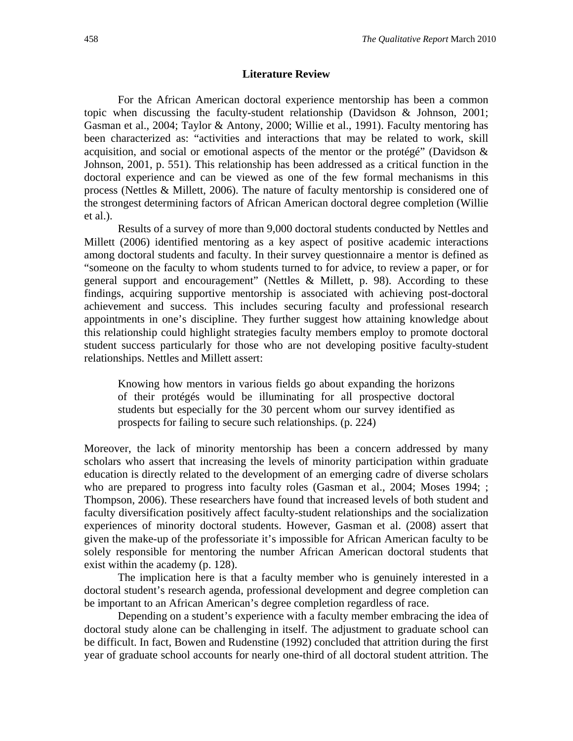#### **Literature Review**

For the African American doctoral experience mentorship has been a common topic when discussing the faculty-student relationship (Davidson & Johnson, 2001; Gasman et al., 2004; Taylor & Antony, 2000; Willie et al., 1991). Faculty mentoring has been characterized as: "activities and interactions that may be related to work, skill acquisition, and social or emotional aspects of the mentor or the protégé" (Davidson & Johnson, 2001, p. 551). This relationship has been addressed as a critical function in the doctoral experience and can be viewed as one of the few formal mechanisms in this process (Nettles & Millett, 2006). The nature of faculty mentorship is considered one of the strongest determining factors of African American doctoral degree completion (Willie et al.).

Results of a survey of more than 9,000 doctoral students conducted by Nettles and Millett (2006) identified mentoring as a key aspect of positive academic interactions among doctoral students and faculty. In their survey questionnaire a mentor is defined as "someone on the faculty to whom students turned to for advice, to review a paper, or for general support and encouragement" (Nettles & Millett, p. 98). According to these findings, acquiring supportive mentorship is associated with achieving post-doctoral achievement and success. This includes securing faculty and professional research appointments in one's discipline. They further suggest how attaining knowledge about this relationship could highlight strategies faculty members employ to promote doctoral student success particularly for those who are not developing positive faculty-student relationships. Nettles and Millett assert:

Knowing how mentors in various fields go about expanding the horizons of their protégés would be illuminating for all prospective doctoral students but especially for the 30 percent whom our survey identified as prospects for failing to secure such relationships. (p. 224)

Moreover, the lack of minority mentorship has been a concern addressed by many scholars who assert that increasing the levels of minority participation within graduate education is directly related to the development of an emerging cadre of diverse scholars who are prepared to progress into faculty roles (Gasman et al., 2004; Moses 1994; ; Thompson, 2006). These researchers have found that increased levels of both student and faculty diversification positively affect faculty-student relationships and the socialization experiences of minority doctoral students. However, Gasman et al. (2008) assert that given the make-up of the professoriate it's impossible for African American faculty to be solely responsible for mentoring the number African American doctoral students that exist within the academy (p. 128).

 The implication here is that a faculty member who is genuinely interested in a doctoral student's research agenda, professional development and degree completion can be important to an African American's degree completion regardless of race.

Depending on a student's experience with a faculty member embracing the idea of doctoral study alone can be challenging in itself. The adjustment to graduate school can be difficult. In fact, Bowen and Rudenstine (1992) concluded that attrition during the first year of graduate school accounts for nearly one-third of all doctoral student attrition. The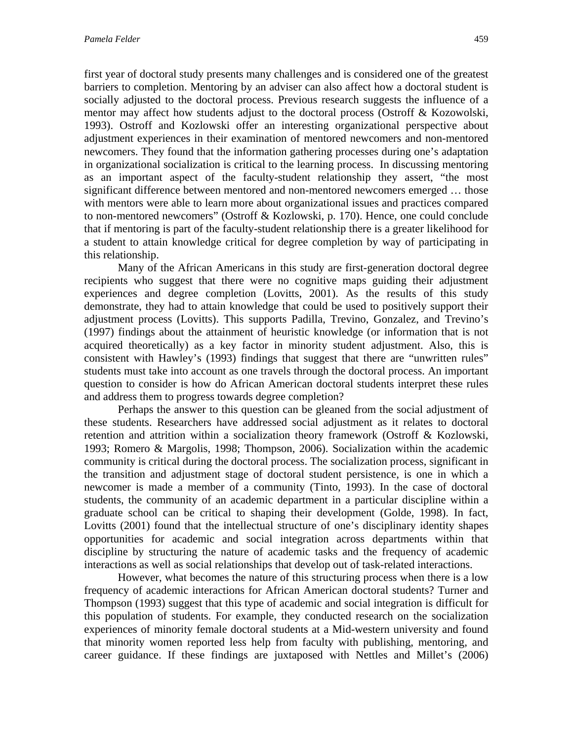first year of doctoral study presents many challenges and is considered one of the greatest barriers to completion. Mentoring by an adviser can also affect how a doctoral student is socially adjusted to the doctoral process. Previous research suggests the influence of a mentor may affect how students adjust to the doctoral process (Ostroff & Kozowolski, 1993). Ostroff and Kozlowski offer an interesting organizational perspective about adjustment experiences in their examination of mentored newcomers and non-mentored newcomers. They found that the information gathering processes during one's adaptation in organizational socialization is critical to the learning process. In discussing mentoring as an important aspect of the faculty-student relationship they assert, "the most significant difference between mentored and non-mentored newcomers emerged … those with mentors were able to learn more about organizational issues and practices compared to non-mentored newcomers" (Ostroff & Kozlowski, p. 170). Hence, one could conclude that if mentoring is part of the faculty-student relationship there is a greater likelihood for a student to attain knowledge critical for degree completion by way of participating in this relationship.

Many of the African Americans in this study are first-generation doctoral degree recipients who suggest that there were no cognitive maps guiding their adjustment experiences and degree completion (Lovitts, 2001). As the results of this study demonstrate, they had to attain knowledge that could be used to positively support their adjustment process (Lovitts). This supports Padilla, Trevino, Gonzalez, and Trevino's (1997) findings about the attainment of heuristic knowledge (or information that is not acquired theoretically) as a key factor in minority student adjustment. Also, this is consistent with Hawley's (1993) findings that suggest that there are "unwritten rules" students must take into account as one travels through the doctoral process. An important question to consider is how do African American doctoral students interpret these rules and address them to progress towards degree completion?

Perhaps the answer to this question can be gleaned from the social adjustment of these students. Researchers have addressed social adjustment as it relates to doctoral retention and attrition within a socialization theory framework (Ostroff & Kozlowski, 1993; Romero & Margolis, 1998; Thompson, 2006). Socialization within the academic community is critical during the doctoral process. The socialization process, significant in the transition and adjustment stage of doctoral student persistence, is one in which a newcomer is made a member of a community (Tinto, 1993). In the case of doctoral students, the community of an academic department in a particular discipline within a graduate school can be critical to shaping their development (Golde, 1998). In fact, Lovitts (2001) found that the intellectual structure of one's disciplinary identity shapes opportunities for academic and social integration across departments within that discipline by structuring the nature of academic tasks and the frequency of academic interactions as well as social relationships that develop out of task-related interactions.

However, what becomes the nature of this structuring process when there is a low frequency of academic interactions for African American doctoral students? Turner and Thompson (1993) suggest that this type of academic and social integration is difficult for this population of students. For example, they conducted research on the socialization experiences of minority female doctoral students at a Mid-western university and found that minority women reported less help from faculty with publishing, mentoring, and career guidance. If these findings are juxtaposed with Nettles and Millet's (2006)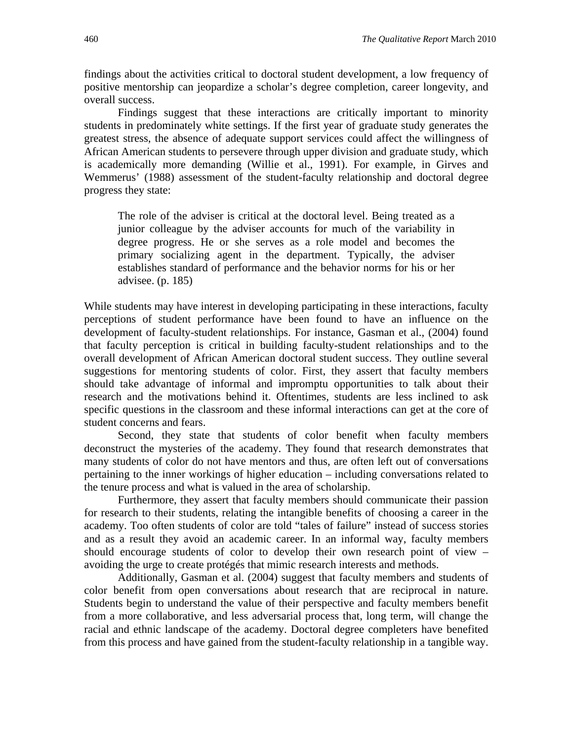findings about the activities critical to doctoral student development, a low frequency of positive mentorship can jeopardize a scholar's degree completion, career longevity, and overall success.

Findings suggest that these interactions are critically important to minority students in predominately white settings. If the first year of graduate study generates the greatest stress, the absence of adequate support services could affect the willingness of African American students to persevere through upper division and graduate study, which is academically more demanding (Willie et al., 1991). For example, in Girves and Wemmerus' (1988) assessment of the student-faculty relationship and doctoral degree progress they state:

The role of the adviser is critical at the doctoral level. Being treated as a junior colleague by the adviser accounts for much of the variability in degree progress. He or she serves as a role model and becomes the primary socializing agent in the department. Typically, the adviser establishes standard of performance and the behavior norms for his or her advisee. (p. 185)

While students may have interest in developing participating in these interactions, faculty perceptions of student performance have been found to have an influence on the development of faculty-student relationships. For instance, Gasman et al., (2004) found that faculty perception is critical in building faculty-student relationships and to the overall development of African American doctoral student success. They outline several suggestions for mentoring students of color. First, they assert that faculty members should take advantage of informal and impromptu opportunities to talk about their research and the motivations behind it. Oftentimes, students are less inclined to ask specific questions in the classroom and these informal interactions can get at the core of student concerns and fears.

 Second, they state that students of color benefit when faculty members deconstruct the mysteries of the academy. They found that research demonstrates that many students of color do not have mentors and thus, are often left out of conversations pertaining to the inner workings of higher education – including conversations related to the tenure process and what is valued in the area of scholarship.

 Furthermore, they assert that faculty members should communicate their passion for research to their students, relating the intangible benefits of choosing a career in the academy. Too often students of color are told "tales of failure" instead of success stories and as a result they avoid an academic career. In an informal way, faculty members should encourage students of color to develop their own research point of view – avoiding the urge to create protégés that mimic research interests and methods.

Additionally, Gasman et al. (2004) suggest that faculty members and students of color benefit from open conversations about research that are reciprocal in nature. Students begin to understand the value of their perspective and faculty members benefit from a more collaborative, and less adversarial process that, long term, will change the racial and ethnic landscape of the academy. Doctoral degree completers have benefited from this process and have gained from the student-faculty relationship in a tangible way.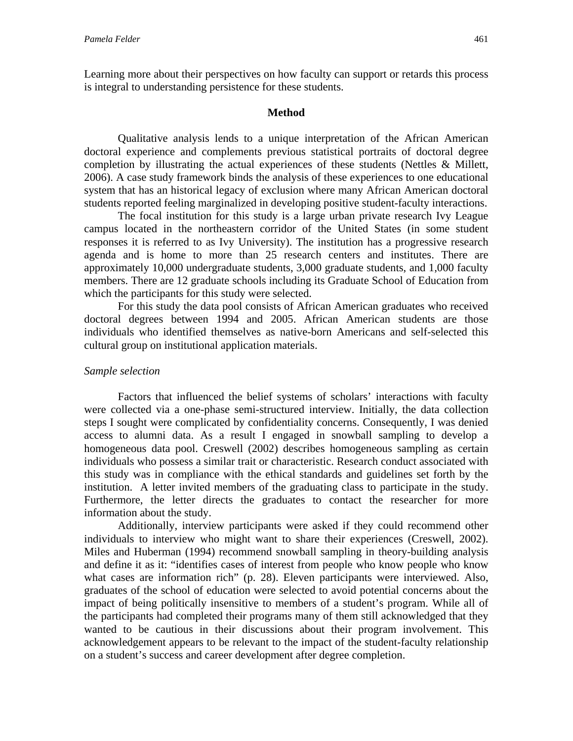Learning more about their perspectives on how faculty can support or retards this process is integral to understanding persistence for these students.

## **Method**

Qualitative analysis lends to a unique interpretation of the African American doctoral experience and complements previous statistical portraits of doctoral degree completion by illustrating the actual experiences of these students (Nettles & Millett, 2006). A case study framework binds the analysis of these experiences to one educational system that has an historical legacy of exclusion where many African American doctoral students reported feeling marginalized in developing positive student-faculty interactions.

The focal institution for this study is a large urban private research Ivy League campus located in the northeastern corridor of the United States (in some student responses it is referred to as Ivy University). The institution has a progressive research agenda and is home to more than 25 research centers and institutes. There are approximately 10,000 undergraduate students, 3,000 graduate students, and 1,000 faculty members. There are 12 graduate schools including its Graduate School of Education from which the participants for this study were selected.

For this study the data pool consists of African American graduates who received doctoral degrees between 1994 and 2005. African American students are those individuals who identified themselves as native-born Americans and self-selected this cultural group on institutional application materials.

## *Sample selection*

Factors that influenced the belief systems of scholars' interactions with faculty were collected via a one-phase semi-structured interview. Initially, the data collection steps I sought were complicated by confidentiality concerns. Consequently, I was denied access to alumni data. As a result I engaged in snowball sampling to develop a homogeneous data pool. Creswell (2002) describes homogeneous sampling as certain individuals who possess a similar trait or characteristic. Research conduct associated with this study was in compliance with the ethical standards and guidelines set forth by the institution. A letter invited members of the graduating class to participate in the study. Furthermore, the letter directs the graduates to contact the researcher for more information about the study.

Additionally, interview participants were asked if they could recommend other individuals to interview who might want to share their experiences (Creswell, 2002). Miles and Huberman (1994) recommend snowball sampling in theory-building analysis and define it as it: "identifies cases of interest from people who know people who know what cases are information rich" (p. 28). Eleven participants were interviewed. Also, graduates of the school of education were selected to avoid potential concerns about the impact of being politically insensitive to members of a student's program. While all of the participants had completed their programs many of them still acknowledged that they wanted to be cautious in their discussions about their program involvement. This acknowledgement appears to be relevant to the impact of the student-faculty relationship on a student's success and career development after degree completion.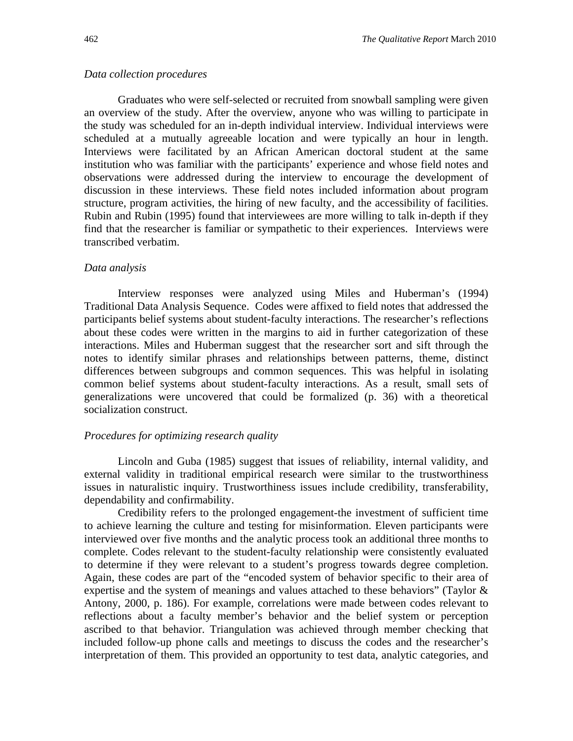#### *Data collection procedures*

Graduates who were self-selected or recruited from snowball sampling were given an overview of the study. After the overview, anyone who was willing to participate in the study was scheduled for an in-depth individual interview. Individual interviews were scheduled at a mutually agreeable location and were typically an hour in length. Interviews were facilitated by an African American doctoral student at the same institution who was familiar with the participants' experience and whose field notes and observations were addressed during the interview to encourage the development of discussion in these interviews. These field notes included information about program structure, program activities, the hiring of new faculty, and the accessibility of facilities. Rubin and Rubin (1995) found that interviewees are more willing to talk in-depth if they find that the researcher is familiar or sympathetic to their experiences. Interviews were transcribed verbatim.

#### *Data analysis*

Interview responses were analyzed using Miles and Huberman's (1994) Traditional Data Analysis Sequence. Codes were affixed to field notes that addressed the participants belief systems about student-faculty interactions. The researcher's reflections about these codes were written in the margins to aid in further categorization of these interactions. Miles and Huberman suggest that the researcher sort and sift through the notes to identify similar phrases and relationships between patterns, theme, distinct differences between subgroups and common sequences. This was helpful in isolating common belief systems about student-faculty interactions. As a result, small sets of generalizations were uncovered that could be formalized (p. 36) with a theoretical socialization construct.

#### *Procedures for optimizing research quality*

Lincoln and Guba (1985) suggest that issues of reliability, internal validity, and external validity in traditional empirical research were similar to the trustworthiness issues in naturalistic inquiry. Trustworthiness issues include credibility, transferability, dependability and confirmability.

Credibility refers to the prolonged engagement-the investment of sufficient time to achieve learning the culture and testing for misinformation. Eleven participants were interviewed over five months and the analytic process took an additional three months to complete. Codes relevant to the student-faculty relationship were consistently evaluated to determine if they were relevant to a student's progress towards degree completion. Again, these codes are part of the "encoded system of behavior specific to their area of expertise and the system of meanings and values attached to these behaviors" (Taylor & Antony, 2000, p. 186). For example, correlations were made between codes relevant to reflections about a faculty member's behavior and the belief system or perception ascribed to that behavior. Triangulation was achieved through member checking that included follow-up phone calls and meetings to discuss the codes and the researcher's interpretation of them. This provided an opportunity to test data, analytic categories, and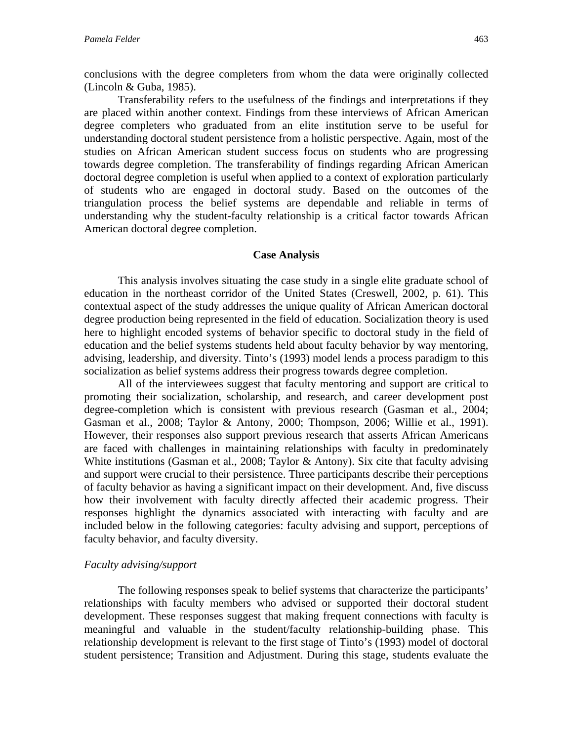conclusions with the degree completers from whom the data were originally collected (Lincoln & Guba, 1985).

Transferability refers to the usefulness of the findings and interpretations if they are placed within another context. Findings from these interviews of African American degree completers who graduated from an elite institution serve to be useful for understanding doctoral student persistence from a holistic perspective. Again, most of the studies on African American student success focus on students who are progressing towards degree completion. The transferability of findings regarding African American doctoral degree completion is useful when applied to a context of exploration particularly of students who are engaged in doctoral study. Based on the outcomes of the triangulation process the belief systems are dependable and reliable in terms of understanding why the student-faculty relationship is a critical factor towards African American doctoral degree completion.

## **Case Analysis**

This analysis involves situating the case study in a single elite graduate school of education in the northeast corridor of the United States (Creswell, 2002, p. 61). This contextual aspect of the study addresses the unique quality of African American doctoral degree production being represented in the field of education. Socialization theory is used here to highlight encoded systems of behavior specific to doctoral study in the field of education and the belief systems students held about faculty behavior by way mentoring, advising, leadership, and diversity. Tinto's (1993) model lends a process paradigm to this socialization as belief systems address their progress towards degree completion.

All of the interviewees suggest that faculty mentoring and support are critical to promoting their socialization, scholarship, and research, and career development post degree-completion which is consistent with previous research (Gasman et al., 2004; Gasman et al., 2008; Taylor & Antony, 2000; Thompson, 2006; Willie et al., 1991). However, their responses also support previous research that asserts African Americans are faced with challenges in maintaining relationships with faculty in predominately White institutions (Gasman et al., 2008; Taylor & Antony). Six cite that faculty advising and support were crucial to their persistence. Three participants describe their perceptions of faculty behavior as having a significant impact on their development. And, five discuss how their involvement with faculty directly affected their academic progress. Their responses highlight the dynamics associated with interacting with faculty and are included below in the following categories: faculty advising and support, perceptions of faculty behavior, and faculty diversity.

#### *Faculty advising/support*

The following responses speak to belief systems that characterize the participants' relationships with faculty members who advised or supported their doctoral student development. These responses suggest that making frequent connections with faculty is meaningful and valuable in the student/faculty relationship-building phase. This relationship development is relevant to the first stage of Tinto's (1993) model of doctoral student persistence; Transition and Adjustment. During this stage, students evaluate the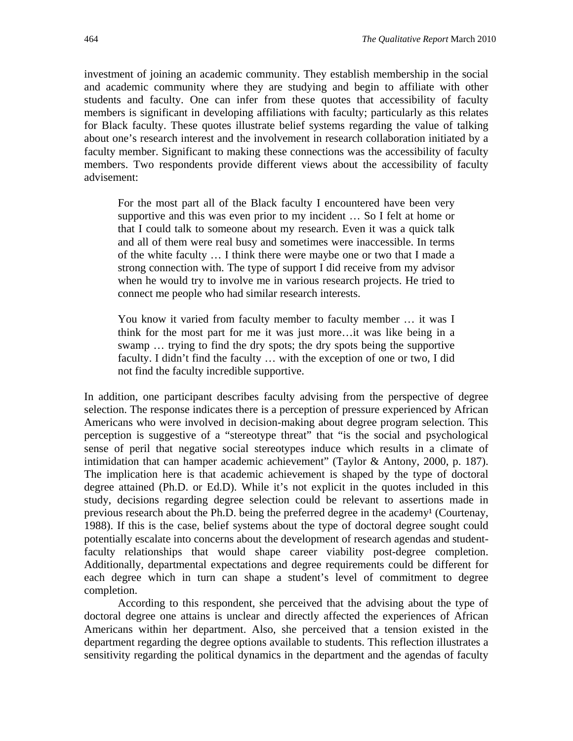investment of joining an academic community. They establish membership in the social and academic community where they are studying and begin to affiliate with other students and faculty. One can infer from these quotes that accessibility of faculty members is significant in developing affiliations with faculty; particularly as this relates for Black faculty. These quotes illustrate belief systems regarding the value of talking about one's research interest and the involvement in research collaboration initiated by a faculty member. Significant to making these connections was the accessibility of faculty members. Two respondents provide different views about the accessibility of faculty advisement:

For the most part all of the Black faculty I encountered have been very supportive and this was even prior to my incident … So I felt at home or that I could talk to someone about my research. Even it was a quick talk and all of them were real busy and sometimes were inaccessible. In terms of the white faculty … I think there were maybe one or two that I made a strong connection with. The type of support I did receive from my advisor when he would try to involve me in various research projects. He tried to connect me people who had similar research interests.

You know it varied from faculty member to faculty member … it was I think for the most part for me it was just more…it was like being in a swamp … trying to find the dry spots; the dry spots being the supportive faculty. I didn't find the faculty … with the exception of one or two, I did not find the faculty incredible supportive.

In addition, one participant describes faculty advising from the perspective of degree selection. The response indicates there is a perception of pressure experienced by African Americans who were involved in decision-making about degree program selection. This perception is suggestive of a "stereotype threat" that "is the social and psychological sense of peril that negative social stereotypes induce which results in a climate of intimidation that can hamper academic achievement" (Taylor & Antony, 2000, p. 187). The implication here is that academic achievement is shaped by the type of doctoral degree attained (Ph.D. or Ed.D). While it's not explicit in the quotes included in this study, decisions regarding degree selection could be relevant to assertions made in previous research about the Ph.D. being the preferred degree in the academy<sup>1</sup> (Courtenay, 1988). If this is the case, belief systems about the type of doctoral degree sought could potentially escalate into concerns about the development of research agendas and studentfaculty relationships that would shape career viability post-degree completion. Additionally, departmental expectations and degree requirements could be different for each degree which in turn can shape a student's level of commitment to degree completion.

According to this respondent, she perceived that the advising about the type of doctoral degree one attains is unclear and directly affected the experiences of African Americans within her department. Also, she perceived that a tension existed in the department regarding the degree options available to students. This reflection illustrates a sensitivity regarding the political dynamics in the department and the agendas of faculty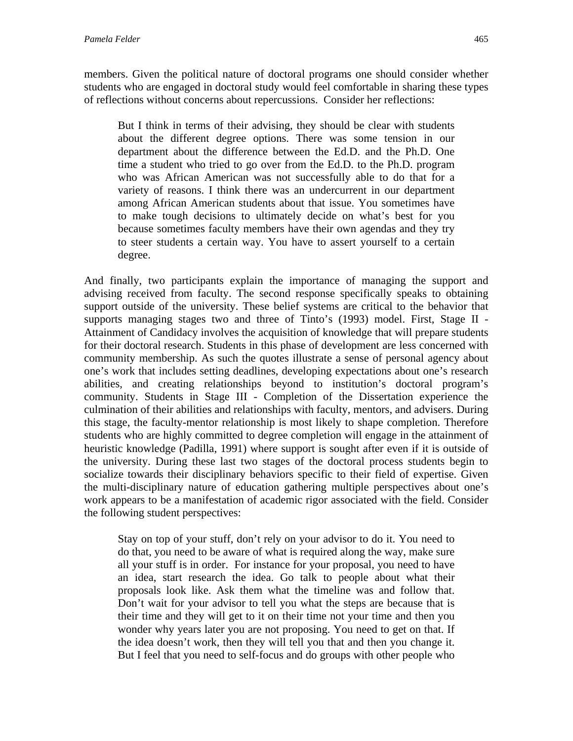members. Given the political nature of doctoral programs one should consider whether students who are engaged in doctoral study would feel comfortable in sharing these types of reflections without concerns about repercussions. Consider her reflections:

But I think in terms of their advising, they should be clear with students about the different degree options. There was some tension in our department about the difference between the Ed.D. and the Ph.D. One time a student who tried to go over from the Ed.D. to the Ph.D. program who was African American was not successfully able to do that for a variety of reasons. I think there was an undercurrent in our department among African American students about that issue. You sometimes have to make tough decisions to ultimately decide on what's best for you because sometimes faculty members have their own agendas and they try to steer students a certain way. You have to assert yourself to a certain degree.

And finally, two participants explain the importance of managing the support and advising received from faculty. The second response specifically speaks to obtaining support outside of the university. These belief systems are critical to the behavior that supports managing stages two and three of Tinto's (1993) model. First, Stage II - Attainment of Candidacy involves the acquisition of knowledge that will prepare students for their doctoral research. Students in this phase of development are less concerned with community membership. As such the quotes illustrate a sense of personal agency about one's work that includes setting deadlines, developing expectations about one's research abilities, and creating relationships beyond to institution's doctoral program's community. Students in Stage III - Completion of the Dissertation experience the culmination of their abilities and relationships with faculty, mentors, and advisers. During this stage, the faculty-mentor relationship is most likely to shape completion. Therefore students who are highly committed to degree completion will engage in the attainment of heuristic knowledge (Padilla, 1991) where support is sought after even if it is outside of the university. During these last two stages of the doctoral process students begin to socialize towards their disciplinary behaviors specific to their field of expertise. Given the multi-disciplinary nature of education gathering multiple perspectives about one's work appears to be a manifestation of academic rigor associated with the field. Consider the following student perspectives:

Stay on top of your stuff, don't rely on your advisor to do it. You need to do that, you need to be aware of what is required along the way, make sure all your stuff is in order. For instance for your proposal, you need to have an idea, start research the idea. Go talk to people about what their proposals look like. Ask them what the timeline was and follow that. Don't wait for your advisor to tell you what the steps are because that is their time and they will get to it on their time not your time and then you wonder why years later you are not proposing. You need to get on that. If the idea doesn't work, then they will tell you that and then you change it. But I feel that you need to self-focus and do groups with other people who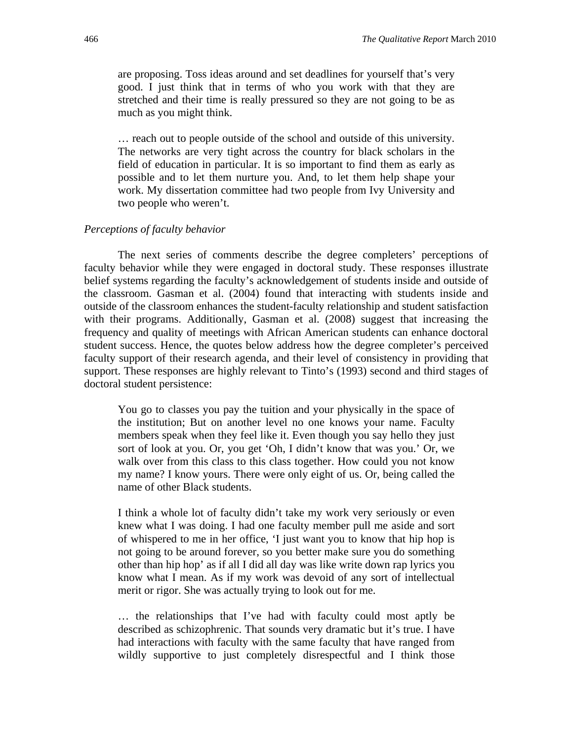are proposing. Toss ideas around and set deadlines for yourself that's very good. I just think that in terms of who you work with that they are stretched and their time is really pressured so they are not going to be as much as you might think.

… reach out to people outside of the school and outside of this university. The networks are very tight across the country for black scholars in the field of education in particular. It is so important to find them as early as possible and to let them nurture you. And, to let them help shape your work. My dissertation committee had two people from Ivy University and two people who weren't.

#### *Perceptions of faculty behavior*

The next series of comments describe the degree completers' perceptions of faculty behavior while they were engaged in doctoral study. These responses illustrate belief systems regarding the faculty's acknowledgement of students inside and outside of the classroom. Gasman et al. (2004) found that interacting with students inside and outside of the classroom enhances the student-faculty relationship and student satisfaction with their programs. Additionally, Gasman et al. (2008) suggest that increasing the frequency and quality of meetings with African American students can enhance doctoral student success. Hence, the quotes below address how the degree completer's perceived faculty support of their research agenda, and their level of consistency in providing that support. These responses are highly relevant to Tinto's (1993) second and third stages of doctoral student persistence:

You go to classes you pay the tuition and your physically in the space of the institution; But on another level no one knows your name. Faculty members speak when they feel like it. Even though you say hello they just sort of look at you. Or, you get 'Oh, I didn't know that was you.' Or, we walk over from this class to this class together. How could you not know my name? I know yours. There were only eight of us. Or, being called the name of other Black students.

I think a whole lot of faculty didn't take my work very seriously or even knew what I was doing. I had one faculty member pull me aside and sort of whispered to me in her office, 'I just want you to know that hip hop is not going to be around forever, so you better make sure you do something other than hip hop' as if all I did all day was like write down rap lyrics you know what I mean. As if my work was devoid of any sort of intellectual merit or rigor. She was actually trying to look out for me.

… the relationships that I've had with faculty could most aptly be described as schizophrenic. That sounds very dramatic but it's true. I have had interactions with faculty with the same faculty that have ranged from wildly supportive to just completely disrespectful and I think those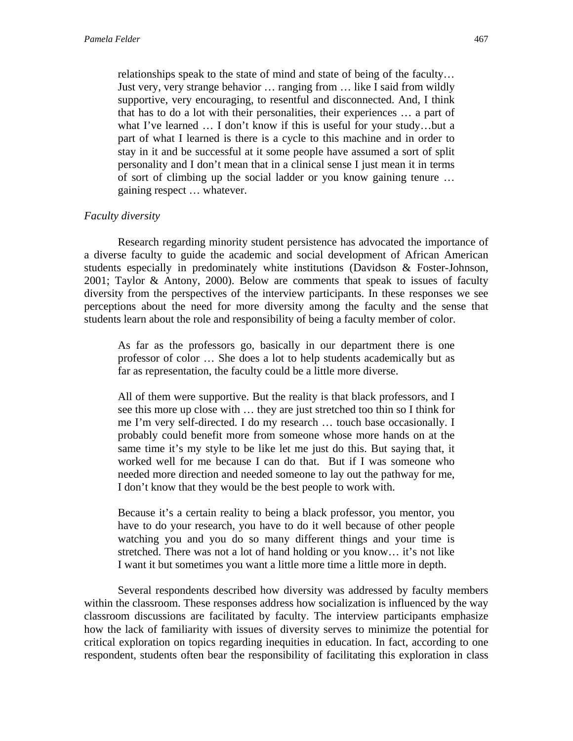relationships speak to the state of mind and state of being of the faculty… Just very, very strange behavior … ranging from … like I said from wildly supportive, very encouraging, to resentful and disconnected. And, I think that has to do a lot with their personalities, their experiences … a part of what I've learned … I don't know if this is useful for your study…but a part of what I learned is there is a cycle to this machine and in order to stay in it and be successful at it some people have assumed a sort of split personality and I don't mean that in a clinical sense I just mean it in terms of sort of climbing up the social ladder or you know gaining tenure … gaining respect … whatever.

# *Faculty diversity*

Research regarding minority student persistence has advocated the importance of a diverse faculty to guide the academic and social development of African American students especially in predominately white institutions (Davidson & Foster-Johnson, 2001; Taylor & Antony, 2000). Below are comments that speak to issues of faculty diversity from the perspectives of the interview participants. In these responses we see perceptions about the need for more diversity among the faculty and the sense that students learn about the role and responsibility of being a faculty member of color.

As far as the professors go, basically in our department there is one professor of color … She does a lot to help students academically but as far as representation, the faculty could be a little more diverse.

All of them were supportive. But the reality is that black professors, and I see this more up close with … they are just stretched too thin so I think for me I'm very self-directed. I do my research … touch base occasionally. I probably could benefit more from someone whose more hands on at the same time it's my style to be like let me just do this. But saying that, it worked well for me because I can do that. But if I was someone who needed more direction and needed someone to lay out the pathway for me, I don't know that they would be the best people to work with.

Because it's a certain reality to being a black professor, you mentor, you have to do your research, you have to do it well because of other people watching you and you do so many different things and your time is stretched. There was not a lot of hand holding or you know… it's not like I want it but sometimes you want a little more time a little more in depth.

Several respondents described how diversity was addressed by faculty members within the classroom. These responses address how socialization is influenced by the way classroom discussions are facilitated by faculty. The interview participants emphasize how the lack of familiarity with issues of diversity serves to minimize the potential for critical exploration on topics regarding inequities in education. In fact, according to one respondent, students often bear the responsibility of facilitating this exploration in class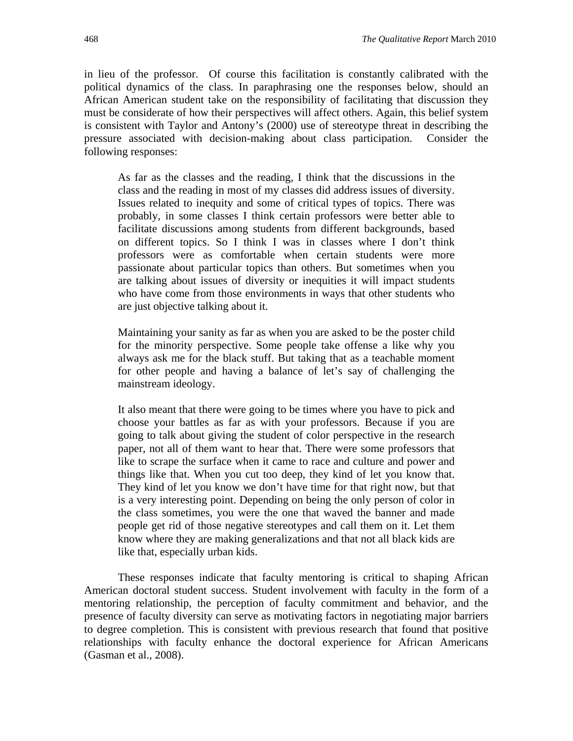in lieu of the professor. Of course this facilitation is constantly calibrated with the political dynamics of the class. In paraphrasing one the responses below, should an African American student take on the responsibility of facilitating that discussion they must be considerate of how their perspectives will affect others. Again, this belief system is consistent with Taylor and Antony's (2000) use of stereotype threat in describing the pressure associated with decision-making about class participation. Consider the following responses:

As far as the classes and the reading, I think that the discussions in the class and the reading in most of my classes did address issues of diversity. Issues related to inequity and some of critical types of topics. There was probably, in some classes I think certain professors were better able to facilitate discussions among students from different backgrounds, based on different topics. So I think I was in classes where I don't think professors were as comfortable when certain students were more passionate about particular topics than others. But sometimes when you are talking about issues of diversity or inequities it will impact students who have come from those environments in ways that other students who are just objective talking about it.

Maintaining your sanity as far as when you are asked to be the poster child for the minority perspective. Some people take offense a like why you always ask me for the black stuff. But taking that as a teachable moment for other people and having a balance of let's say of challenging the mainstream ideology.

It also meant that there were going to be times where you have to pick and choose your battles as far as with your professors. Because if you are going to talk about giving the student of color perspective in the research paper, not all of them want to hear that. There were some professors that like to scrape the surface when it came to race and culture and power and things like that. When you cut too deep, they kind of let you know that. They kind of let you know we don't have time for that right now, but that is a very interesting point. Depending on being the only person of color in the class sometimes, you were the one that waved the banner and made people get rid of those negative stereotypes and call them on it. Let them know where they are making generalizations and that not all black kids are like that, especially urban kids.

These responses indicate that faculty mentoring is critical to shaping African American doctoral student success. Student involvement with faculty in the form of a mentoring relationship, the perception of faculty commitment and behavior, and the presence of faculty diversity can serve as motivating factors in negotiating major barriers to degree completion. This is consistent with previous research that found that positive relationships with faculty enhance the doctoral experience for African Americans (Gasman et al., 2008).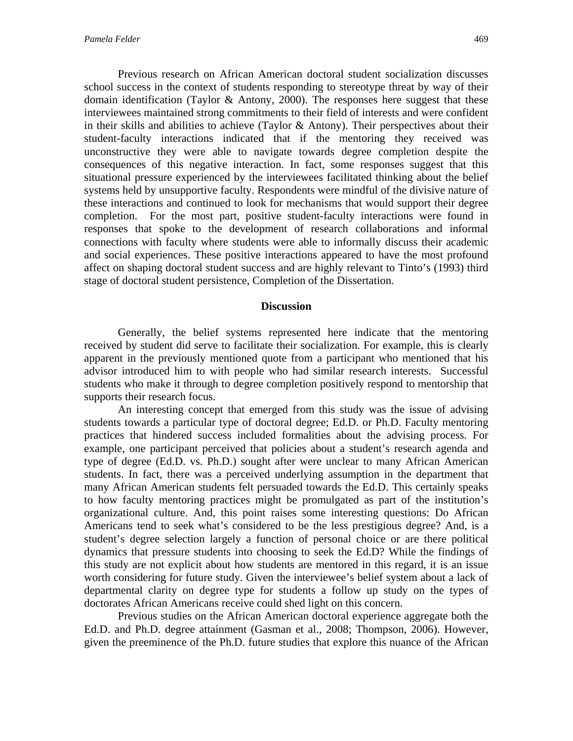Previous research on African American doctoral student socialization discusses school success in the context of students responding to stereotype threat by way of their domain identification (Taylor & Antony, 2000). The responses here suggest that these interviewees maintained strong commitments to their field of interests and were confident in their skills and abilities to achieve (Taylor  $\&$  Antony). Their perspectives about their student-faculty interactions indicated that if the mentoring they received was unconstructive they were able to navigate towards degree completion despite the consequences of this negative interaction. In fact, some responses suggest that this situational pressure experienced by the interviewees facilitated thinking about the belief systems held by unsupportive faculty. Respondents were mindful of the divisive nature of these interactions and continued to look for mechanisms that would support their degree completion. For the most part, positive student-faculty interactions were found in responses that spoke to the development of research collaborations and informal connections with faculty where students were able to informally discuss their academic and social experiences. These positive interactions appeared to have the most profound affect on shaping doctoral student success and are highly relevant to Tinto's (1993) third stage of doctoral student persistence, Completion of the Dissertation.

#### **Discussion**

Generally, the belief systems represented here indicate that the mentoring received by student did serve to facilitate their socialization. For example, this is clearly apparent in the previously mentioned quote from a participant who mentioned that his advisor introduced him to with people who had similar research interests. Successful students who make it through to degree completion positively respond to mentorship that supports their research focus.

An interesting concept that emerged from this study was the issue of advising students towards a particular type of doctoral degree; Ed.D. or Ph.D. Faculty mentoring practices that hindered success included formalities about the advising process. For example, one participant perceived that policies about a student's research agenda and type of degree (Ed.D. vs. Ph.D.) sought after were unclear to many African American students. In fact, there was a perceived underlying assumption in the department that many African American students felt persuaded towards the Ed.D. This certainly speaks to how faculty mentoring practices might be promulgated as part of the institution's organizational culture. And, this point raises some interesting questions: Do African Americans tend to seek what's considered to be the less prestigious degree? And, is a student's degree selection largely a function of personal choice or are there political dynamics that pressure students into choosing to seek the Ed.D? While the findings of this study are not explicit about how students are mentored in this regard, it is an issue worth considering for future study. Given the interviewee's belief system about a lack of departmental clarity on degree type for students a follow up study on the types of doctorates African Americans receive could shed light on this concern.

Previous studies on the African American doctoral experience aggregate both the Ed.D. and Ph.D. degree attainment (Gasman et al., 2008; Thompson, 2006). However, given the preeminence of the Ph.D. future studies that explore this nuance of the African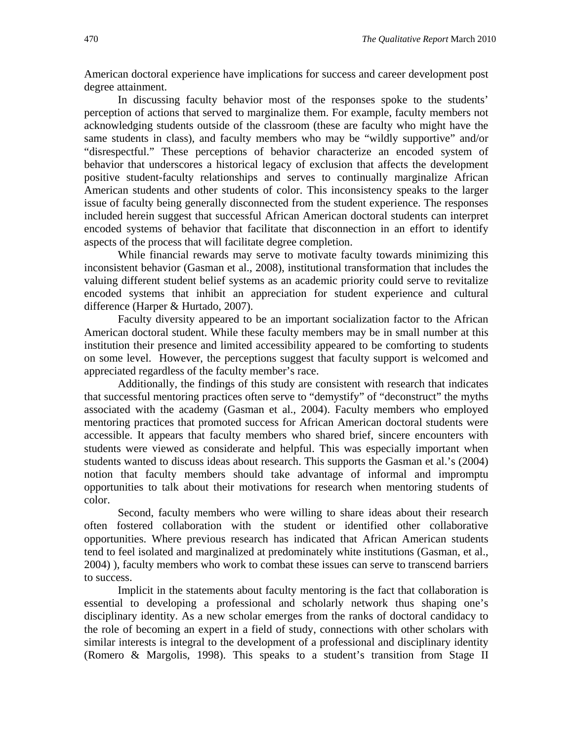American doctoral experience have implications for success and career development post degree attainment.

 In discussing faculty behavior most of the responses spoke to the students' perception of actions that served to marginalize them. For example, faculty members not acknowledging students outside of the classroom (these are faculty who might have the same students in class), and faculty members who may be "wildly supportive" and/or "disrespectful." These perceptions of behavior characterize an encoded system of behavior that underscores a historical legacy of exclusion that affects the development positive student-faculty relationships and serves to continually marginalize African American students and other students of color. This inconsistency speaks to the larger issue of faculty being generally disconnected from the student experience. The responses included herein suggest that successful African American doctoral students can interpret encoded systems of behavior that facilitate that disconnection in an effort to identify aspects of the process that will facilitate degree completion.

While financial rewards may serve to motivate faculty towards minimizing this inconsistent behavior (Gasman et al., 2008), institutional transformation that includes the valuing different student belief systems as an academic priority could serve to revitalize encoded systems that inhibit an appreciation for student experience and cultural difference (Harper & Hurtado, 2007).

 Faculty diversity appeared to be an important socialization factor to the African American doctoral student. While these faculty members may be in small number at this institution their presence and limited accessibility appeared to be comforting to students on some level. However, the perceptions suggest that faculty support is welcomed and appreciated regardless of the faculty member's race.

Additionally, the findings of this study are consistent with research that indicates that successful mentoring practices often serve to "demystify" of "deconstruct" the myths associated with the academy (Gasman et al., 2004). Faculty members who employed mentoring practices that promoted success for African American doctoral students were accessible. It appears that faculty members who shared brief, sincere encounters with students were viewed as considerate and helpful. This was especially important when students wanted to discuss ideas about research. This supports the Gasman et al.'s (2004) notion that faculty members should take advantage of informal and impromptu opportunities to talk about their motivations for research when mentoring students of color.

Second, faculty members who were willing to share ideas about their research often fostered collaboration with the student or identified other collaborative opportunities. Where previous research has indicated that African American students tend to feel isolated and marginalized at predominately white institutions (Gasman, et al., 2004) ), faculty members who work to combat these issues can serve to transcend barriers to success.

Implicit in the statements about faculty mentoring is the fact that collaboration is essential to developing a professional and scholarly network thus shaping one's disciplinary identity. As a new scholar emerges from the ranks of doctoral candidacy to the role of becoming an expert in a field of study, connections with other scholars with similar interests is integral to the development of a professional and disciplinary identity (Romero & Margolis, 1998). This speaks to a student's transition from Stage II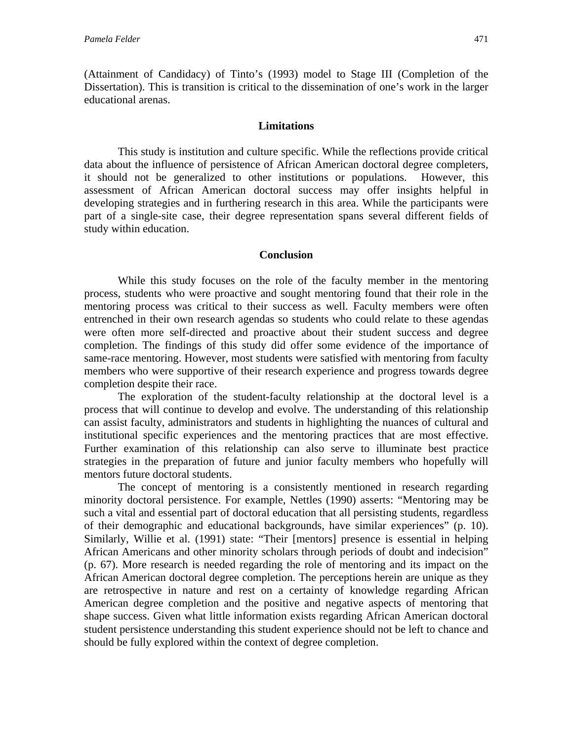(Attainment of Candidacy) of Tinto's (1993) model to Stage III (Completion of the Dissertation). This is transition is critical to the dissemination of one's work in the larger educational arenas.

## **Limitations**

This study is institution and culture specific. While the reflections provide critical data about the influence of persistence of African American doctoral degree completers, it should not be generalized to other institutions or populations. However, this assessment of African American doctoral success may offer insights helpful in developing strategies and in furthering research in this area. While the participants were part of a single-site case, their degree representation spans several different fields of study within education.

# **Conclusion**

While this study focuses on the role of the faculty member in the mentoring process, students who were proactive and sought mentoring found that their role in the mentoring process was critical to their success as well. Faculty members were often entrenched in their own research agendas so students who could relate to these agendas were often more self-directed and proactive about their student success and degree completion. The findings of this study did offer some evidence of the importance of same-race mentoring. However, most students were satisfied with mentoring from faculty members who were supportive of their research experience and progress towards degree completion despite their race.

The exploration of the student-faculty relationship at the doctoral level is a process that will continue to develop and evolve. The understanding of this relationship can assist faculty, administrators and students in highlighting the nuances of cultural and institutional specific experiences and the mentoring practices that are most effective. Further examination of this relationship can also serve to illuminate best practice strategies in the preparation of future and junior faculty members who hopefully will mentors future doctoral students.

The concept of mentoring is a consistently mentioned in research regarding minority doctoral persistence. For example, Nettles (1990) asserts: "Mentoring may be such a vital and essential part of doctoral education that all persisting students, regardless of their demographic and educational backgrounds, have similar experiences" (p. 10). Similarly, Willie et al. (1991) state: "Their [mentors] presence is essential in helping African Americans and other minority scholars through periods of doubt and indecision" (p. 67). More research is needed regarding the role of mentoring and its impact on the African American doctoral degree completion. The perceptions herein are unique as they are retrospective in nature and rest on a certainty of knowledge regarding African American degree completion and the positive and negative aspects of mentoring that shape success. Given what little information exists regarding African American doctoral student persistence understanding this student experience should not be left to chance and should be fully explored within the context of degree completion.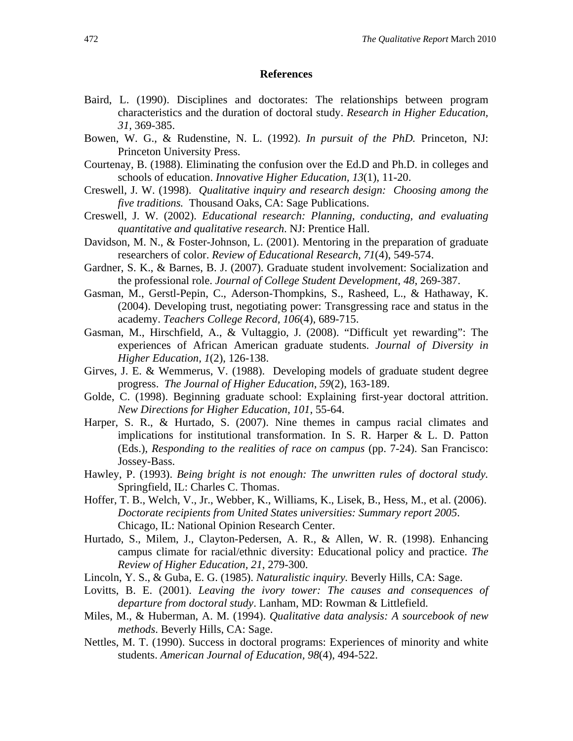#### **References**

- Baird, L. (1990). Disciplines and doctorates: The relationships between program characteristics and the duration of doctoral study. *Research in Higher Education, 31,* 369-385.
- Bowen, W. G., & Rudenstine, N. L. (1992). *In pursuit of the PhD.* Princeton, NJ: Princeton University Press.
- Courtenay, B. (1988). Eliminating the confusion over the Ed.D and Ph.D. in colleges and schools of education. *Innovative Higher Education, 13*(1), 11-20.
- Creswell, J. W. (1998). *Qualitative inquiry and research design: Choosing among the five traditions.* Thousand Oaks, CA: Sage Publications.
- Creswell, J. W. (2002). *Educational research: Planning, conducting, and evaluating quantitative and qualitative research*. NJ: Prentice Hall.
- Davidson, M. N., & Foster-Johnson, L. (2001). Mentoring in the preparation of graduate researchers of color. *Review of Educational Research*, *71*(4), 549-574.
- Gardner, S. K., & Barnes, B. J. (2007). Graduate student involvement: Socialization and the professional role. *Journal of College Student Development*, *48*, 269-387.
- Gasman, M., Gerstl-Pepin, C., Aderson-Thompkins, S., Rasheed, L., & Hathaway, K. (2004). Developing trust, negotiating power: Transgressing race and status in the academy. *Teachers College Record, 106*(4), 689-715.
- Gasman, M., Hirschfield, A., & Vultaggio, J. (2008). "Difficult yet rewarding": The experiences of African American graduate students. *Journal of Diversity in Higher Education, 1*(2), 126-138.
- Girves, J. E. & Wemmerus, V. (1988). Developing models of graduate student degree progress. *The Journal of Higher Education*, *59*(2), 163-189.
- Golde, C. (1998). Beginning graduate school: Explaining first-year doctoral attrition. *New Directions for Higher Education*, *101*, 55-64.
- Harper, S. R., & Hurtado, S. (2007). Nine themes in campus racial climates and implications for institutional transformation. In S. R. Harper & L. D. Patton (Eds.), *Responding to the realities of race on campus* (pp. 7-24). San Francisco: Jossey-Bass.
- Hawley, P. (1993). *Being bright is not enough: The unwritten rules of doctoral study.* Springfield, IL: Charles C. Thomas.
- Hoffer, T. B., Welch, V., Jr., Webber, K., Williams, K., Lisek, B., Hess, M., et al. (2006). *Doctorate recipients from United States universities: Summary report 2005*. Chicago, IL: National Opinion Research Center.
- Hurtado, S., Milem, J., Clayton-Pedersen, A. R., & Allen, W. R. (1998). Enhancing campus climate for racial/ethnic diversity: Educational policy and practice. *The Review of Higher Education, 21*, 279-300.
- Lincoln, Y. S., & Guba, E. G. (1985). *Naturalistic inquiry.* Beverly Hills, CA: Sage.
- Lovitts, B. E. (2001). *Leaving the ivory tower: The causes and consequences of departure from doctoral study*. Lanham, MD: Rowman & Littlefield.
- Miles, M., & Huberman, A. M. (1994). *Qualitative data analysis: A sourcebook of new methods*. Beverly Hills, CA: Sage.
- Nettles, M. T. (1990). Success in doctoral programs: Experiences of minority and white students. *American Journal of Education, 98*(4), 494-522.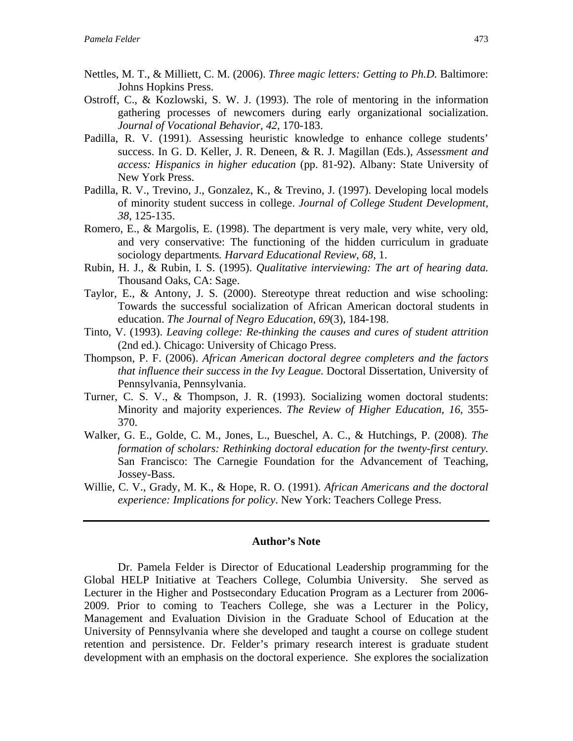- Nettles, M. T., & Milliett, C. M. (2006). *Three magic letters: Getting to Ph.D.* Baltimore: Johns Hopkins Press.
- Ostroff, C., & Kozlowski, S. W. J. (1993). The role of mentoring in the information gathering processes of newcomers during early organizational socialization. *Journal of Vocational Behavior, 42*, 170-183.
- Padilla, R. V. (1991). Assessing heuristic knowledge to enhance college students' success. In G. D. Keller, J. R. Deneen, & R. J. Magillan (Eds.), *Assessment and access: Hispanics in higher education* (pp. 81-92). Albany: State University of New York Press.
- Padilla, R. V., Trevino, J., Gonzalez, K., & Trevino, J. (1997). Developing local models of minority student success in college. *Journal of College Student Development, 38*, 125-135.
- Romero, E., & Margolis, E. (1998). The department is very male, very white, very old, and very conservative: The functioning of the hidden curriculum in graduate sociology departments*. Harvard Educational Review*, *68*, 1.
- Rubin, H. J., & Rubin, I. S. (1995). *Qualitative interviewing: The art of hearing data.* Thousand Oaks, CA: Sage.
- Taylor, E., & Antony, J. S. (2000). Stereotype threat reduction and wise schooling: Towards the successful socialization of African American doctoral students in education. *The Journal of Negro Education, 69*(3), 184-198.
- Tinto, V. (1993). *Leaving college: Re-thinking the causes and cures of student attrition*  (2nd ed.). Chicago: University of Chicago Press.
- Thompson, P. F. (2006). *African American doctoral degree completers and the factors that influence their success in the Ivy League.* Doctoral Dissertation, University of Pennsylvania, Pennsylvania.
- Turner, C. S. V., & Thompson, J. R. (1993). Socializing women doctoral students: Minority and majority experiences. *The Review of Higher Education, 16*, 355- 370.
- Walker, G. E., Golde, C. M., Jones, L., Bueschel, A. C., & Hutchings, P. (2008). *The formation of scholars: Rethinking doctoral education for the twenty-first century.* San Francisco: The Carnegie Foundation for the Advancement of Teaching, Jossey-Bass.
- Willie, C. V., Grady, M. K., & Hope, R. O. (1991). *African Americans and the doctoral experience: Implications for policy*. New York: Teachers College Press.

#### **Author's Note**

Dr. Pamela Felder is Director of Educational Leadership programming for the Global HELP Initiative at Teachers College, Columbia University. She served as Lecturer in the Higher and Postsecondary Education Program as a Lecturer from 2006- 2009. Prior to coming to Teachers College, she was a Lecturer in the Policy, Management and Evaluation Division in the Graduate School of Education at the University of Pennsylvania where she developed and taught a course on college student retention and persistence. Dr. Felder's primary research interest is graduate student development with an emphasis on the doctoral experience. She explores the socialization